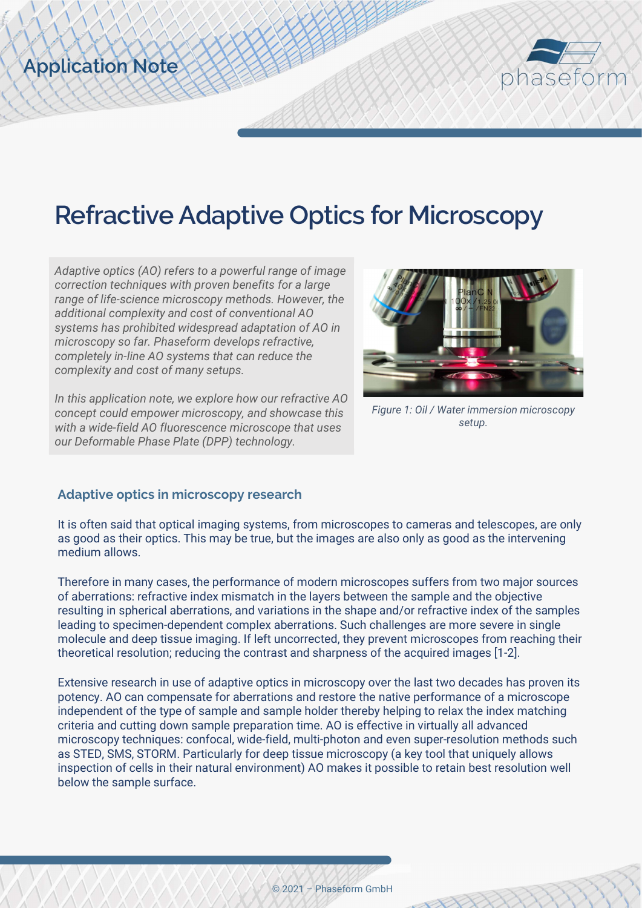

# Refractive Adaptive Optics for Microscopy

Adaptive optics (AO) refers to a powerful range of image correction techniques with proven benefits for a large range of life-science microscopy methods. However, the additional complexity and cost of conventional AO systems has prohibited widespread adaptation of AO in microscopy so far. Phaseform develops refractive, completely in-line AO systems that can reduce the complexity and cost of many setups.

Application Note

In this application note, we explore how our refractive AO concept could empower microscopy, and showcase this with a wide-field AO fluorescence microscope that uses our Deformable Phase Plate (DPP) technology.



Figure 1: Oil / Water immersion microscopy setup.

### Adaptive optics in microscopy research

It is often said that optical imaging systems, from microscopes to cameras and telescopes, are only as good as their optics. This may be true, but the images are also only as good as the intervening medium allows.

Therefore in many cases, the performance of modern microscopes suffers from two major sources of aberrations: refractive index mismatch in the layers between the sample and the objective resulting in spherical aberrations, and variations in the shape and/or refractive index of the samples leading to specimen-dependent complex aberrations. Such challenges are more severe in single molecule and deep tissue imaging. If left uncorrected, they prevent microscopes from reaching their theoretical resolution; reducing the contrast and sharpness of the acquired images [1-2].

Extensive research in use of adaptive optics in microscopy over the last two decades has proven its potency. AO can compensate for aberrations and restore the native performance of a microscope independent of the type of sample and sample holder thereby helping to relax the index matching criteria and cutting down sample preparation time. AO is effective in virtually all advanced microscopy techniques: confocal, wide-field, multi-photon and even super-resolution methods such as STED, SMS, STORM. Particularly for deep tissue microscopy (a key tool that uniquely allows inspection of cells in their natural environment) AO makes it possible to retain best resolution well below the sample surface.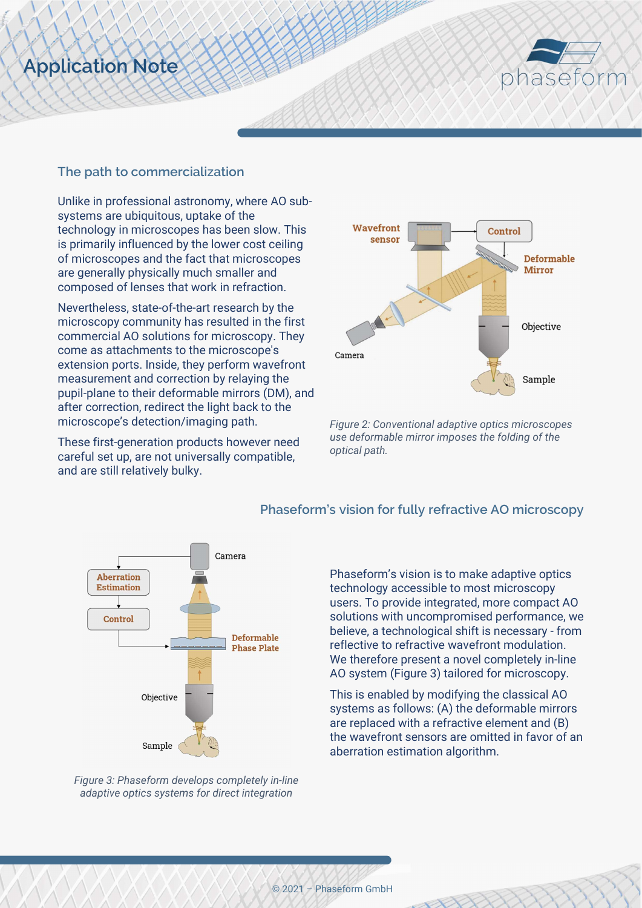# Application Note



#### The path to commercialization

Unlike in professional astronomy, where AO subsystems are ubiquitous, uptake of the technology in microscopes has been slow. This is primarily influenced by the lower cost ceiling of microscopes and the fact that microscopes are generally physically much smaller and composed of lenses that work in refraction.

Nevertheless, state-of-the-art research by the microscopy community has resulted in the first commercial AO solutions for microscopy. They come as attachments to the microscope's extension ports. Inside, they perform wavefront measurement and correction by relaying the pupil-plane to their deformable mirrors (DM), and after correction, redirect the light back to the microscope's detection/imaging path.

These first-generation products however need careful set up, are not universally compatible, and are still relatively bulky.



Figure 2: Conventional adaptive optics microscopes use deformable mirror imposes the folding of the optical path.



Figure 3: Phaseform develops completely in-line adaptive optics systems for direct integration

#### Phaseform's vision for fully refractive AO microscopy

Phaseform's vision is to make adaptive optics technology accessible to most microscopy users. To provide integrated, more compact AO solutions with uncompromised performance, we believe, a technological shift is necessary - from reflective to refractive wavefront modulation. We therefore present a novel completely in-line AO system (Figure 3) tailored for microscopy.

This is enabled by modifying the classical AO systems as follows: (A) the deformable mirrors are replaced with a refractive element and (B) the wavefront sensors are omitted in favor of an aberration estimation algorithm.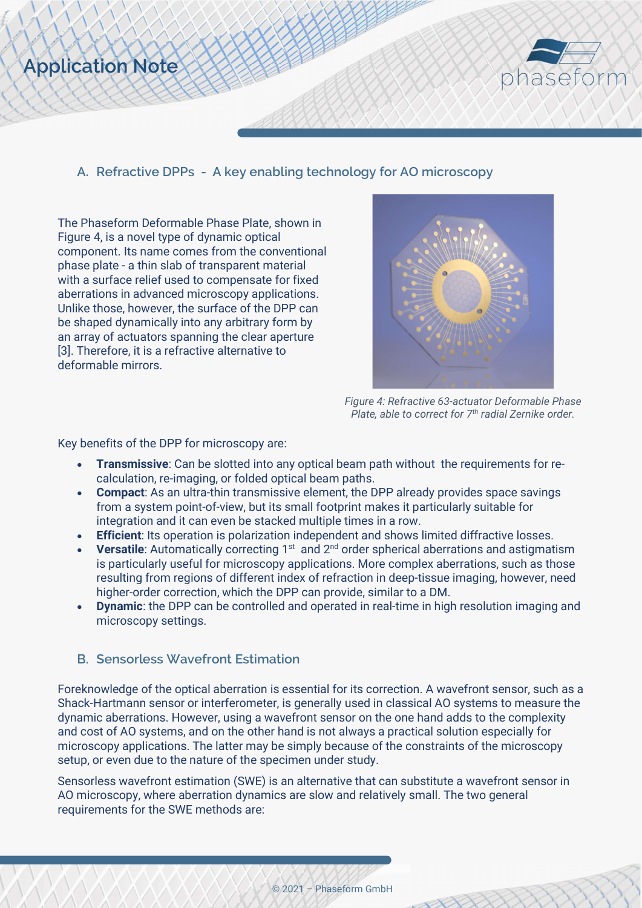



A. Refractive DPPs - A key enabling technology for AO microscopy

The Phaseform Deformable Phase Plate, shown in Figure 4, is a novel type of dynamic optical component. Its name comes from the conventional phase plate - a thin slab of transparent material with a surface relief used to compensate for fixed aberrations in advanced microscopy applications. Unlike those, however, the surface of the DPP can be shaped dynamically into any arbitrary form by an array of actuators spanning the clear aperture [3]. Therefore, it is a refractive alternative to deformable mirrors.



Figure 4: Refractive 63-actuator Deformable Phase Plate, able to correct for  $7<sup>th</sup>$  radial Zernike order.

Key benefits of the DPP for microscopy are:

- Transmissive: Can be slotted into any optical beam path without the requirements for recalculation, re-imaging, or folded optical beam paths.
- Compact: As an ultra-thin transmissive element, the DPP already provides space savings from a system point-of-view, but its small footprint makes it particularly suitable for integration and it can even be stacked multiple times in a row.
- Efficient: Its operation is polarization independent and shows limited diffractive losses.
- **Versatile:** Automatically correcting  $1^{st}$  and  $2^{nd}$  order spherical aberrations and astigmatism is particularly useful for microscopy applications. More complex aberrations, such as those resulting from regions of different index of refraction in deep-tissue imaging, however, need higher-order correction, which the DPP can provide, similar to a DM.
- **Dynamic:** the DPP can be controlled and operated in real-time in high resolution imaging and microscopy settings.

### B. Sensorless Wavefront Estimation

Foreknowledge of the optical aberration is essential for its correction. A wavefront sensor, such as a Shack-Hartmann sensor or interferometer, is generally used in classical AO systems to measure the dynamic aberrations. However, using a wavefront sensor on the one hand adds to the complexity and cost of AO systems, and on the other hand is not always a practical solution especially for microscopy applications. The latter may be simply because of the constraints of the microscopy setup, or even due to the nature of the specimen under study.

Sensorless wavefront estimation (SWE) is an alternative that can substitute a wavefront sensor in AO microscopy, where aberration dynamics are slow and relatively small. The two general requirements for the SWE methods are: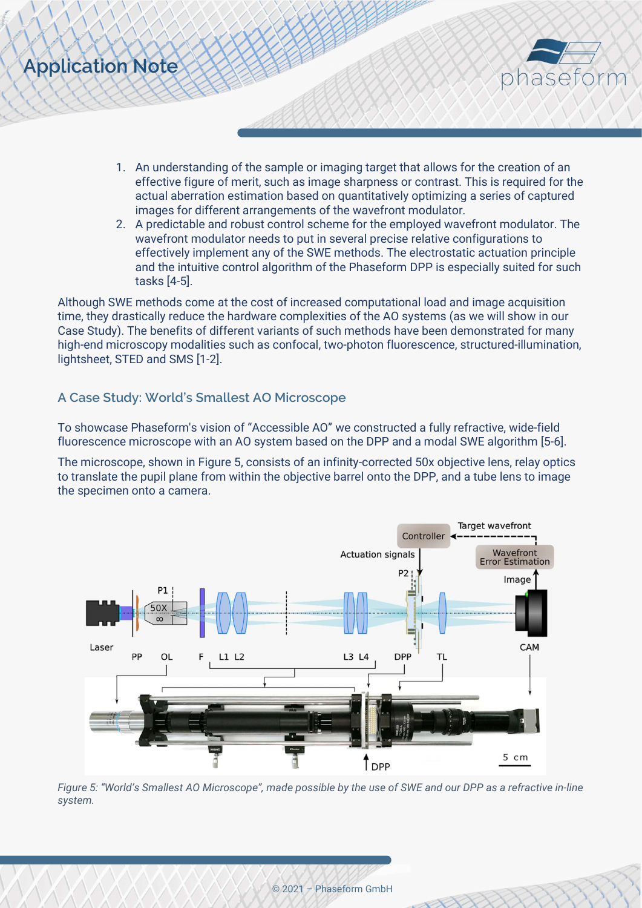



- 1. An understanding of the sample or imaging target that allows for the creation of an effective figure of merit, such as image sharpness or contrast. This is required for the actual aberration estimation based on quantitatively optimizing a series of captured images for different arrangements of the wavefront modulator.
- 2. A predictable and robust control scheme for the employed wavefront modulator. The wavefront modulator needs to put in several precise relative configurations to effectively implement any of the SWE methods. The electrostatic actuation principle and the intuitive control algorithm of the Phaseform DPP is especially suited for such tasks [4-5].

Although SWE methods come at the cost of increased computational load and image acquisition time, they drastically reduce the hardware complexities of the AO systems (as we will show in our Case Study). The benefits of different variants of such methods have been demonstrated for many high-end microscopy modalities such as confocal, two-photon fluorescence, structured-illumination, lightsheet, STED and SMS [1-2].

#### A Case Study: World's Smallest AO Microscope

To showcase Phaseform's vision of "Accessible AO" we constructed a fully refractive, wide-field fluorescence microscope with an AO system based on the DPP and a modal SWE algorithm [5-6].

The microscope, shown in Figure 5, consists of an infinity-corrected 50x objective lens, relay optics to translate the pupil plane from within the objective barrel onto the DPP, and a tube lens to image the specimen onto a camera.



Figure 5: "World's Smallest AO Microscope", made possible by the use of SWE and our DPP as a refractive in-line system.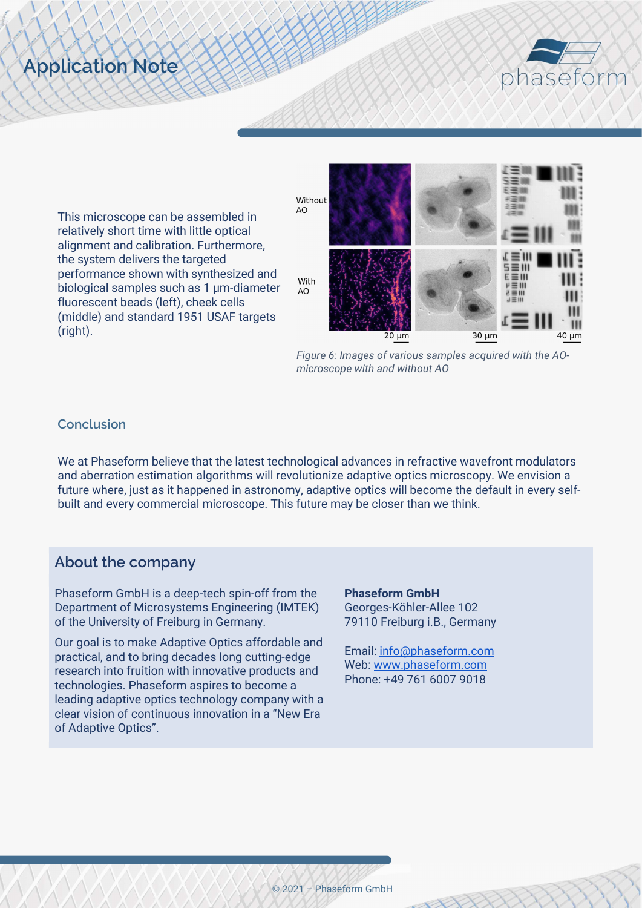# Application Note



This microscope can be assembled in relatively short time with little optical alignment and calibration. Furthermore, the system delivers the targeted performance shown with synthesized and biological samples such as 1 µm-diameter fluorescent beads (left), cheek cells (middle) and standard 1951 USAF targets (right).



Figure 6: Images of various samples acquired with the AOmicroscope with and without AO

#### Conclusion

We at Phaseform believe that the latest technological advances in refractive wavefront modulators and aberration estimation algorithms will revolutionize adaptive optics microscopy. We envision a future where, just as it happened in astronomy, adaptive optics will become the default in every selfbuilt and every commercial microscope. This future may be closer than we think.

## About the company

Phaseform GmbH is a deep-tech spin-off from the Department of Microsystems Engineering (IMTEK) of the University of Freiburg in Germany.

Our goal is to make Adaptive Optics affordable and practical, and to bring decades long cutting-edge research into fruition with innovative products and technologies. Phaseform aspires to become a leading adaptive optics technology company with a clear vision of continuous innovation in a "New Era of Adaptive Optics".

Phaseform GmbH Georges-Köhler-Allee 102 79110 Freiburg i.B., Germany

Email: info@phaseform.com Web: www.phaseform.com Phone: +49 761 6007 9018